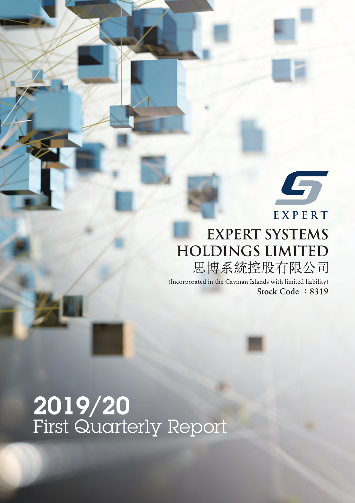# EXPERT **EXPERT SYSTEMS HOLDINGS LIMITED** 思博系統控股有限公司

 $\overline{\phantom{a}}$ 

(Incorporated in the Cayman Islands with limited liability) Stock Code: 8319

2019/20<br>First Quarterly Report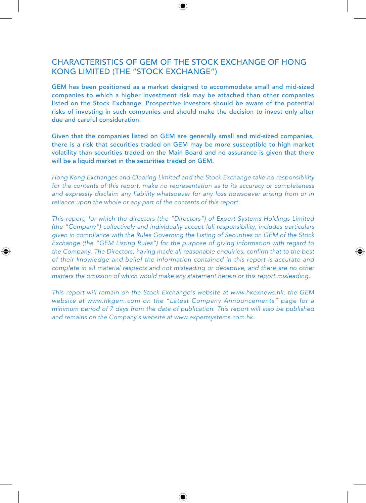## CHARACTERISTICS OF GEM OF THE STOCK EXCHANGE OF HONG KONG LIMITED (THE "STOCK EXCHANGE")

GEM has been positioned as a market designed to accommodate small and mid-sized companies to which a higher investment risk may be attached than other companies listed on the Stock Exchange. Prospective investors should be aware of the potential risks of investing in such companies and should make the decision to invest only after due and careful consideration.

Given that the companies listed on GEM are generally small and mid-sized companies, there is a risk that securities traded on GEM may be more susceptible to high market volatility than securities traded on the Main Board and no assurance is given that there will be a liquid market in the securities traded on GEM.

*Hong Kong Exchanges and Clearing Limited and the Stock Exchange take no responsibility for the contents of this report, make no representation as to its accuracy or completeness and expressly disclaim any liability whatsoever for any loss howsoever arising from or in reliance upon the whole or any part of the contents of this report.*

*This report, for which the directors (the "Directors") of Expert Systems Holdings Limited (the "Company") collectively and individually accept full responsibility, includes particulars given in compliance with the Rules Governing the Listing of Securities on GEM of the Stock Exchange (the "GEM Listing Rules") for the purpose of giving information with regard to the Company. The Directors, having made all reasonable enquiries, confirm that to the best of their knowledge and belief the information contained in this report is accurate and complete in all material respects and not misleading or deceptive, and there are no other matters the omission of which would make any statement herein or this report misleading.*

*This report will remain on the Stock Exchange's website at www.hkexnews.hk, the GEM website at www.hkgem.com on the "Latest Company Announcements" page for a minimum period of 7 days from the date of publication. This report will also be published and remains on the Company's website at www.expertsystems.com.hk.*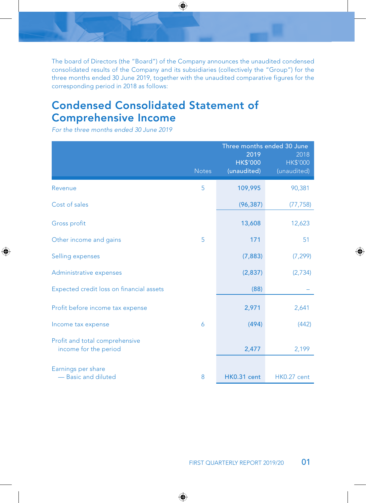The board of Directors (the "Board") of the Company announces the unaudited condensed consolidated results of the Company and its subsidiaries (collectively the "Group") for the three months ended 30 June 2019, together with the unaudited comparative figures for the corresponding period in 2018 as follows:

## Condensed Consolidated Statement of Comprehensive Income

*For the three months ended 30 June 2019*

|                                                         |              | Three months ended 30 June<br>2019 | 2018                           |
|---------------------------------------------------------|--------------|------------------------------------|--------------------------------|
|                                                         | <b>Notes</b> | <b>HK\$'000</b><br>(unaudited)     | <b>HK\$'000</b><br>(unaudited) |
| Revenue                                                 | 5            | 109,995                            | 90,381                         |
| Cost of sales                                           |              | (96, 387)                          | (77, 758)                      |
| Gross profit                                            |              | 13,608                             | 12,623                         |
| Other income and gains                                  | 5            | 171                                | 51                             |
| Selling expenses                                        |              | (7,883)                            | (7, 299)                       |
| Administrative expenses                                 |              | (2,837)                            | (2,734)                        |
| Expected credit loss on financial assets                |              | (88)                               |                                |
| Profit before income tax expense                        |              | 2,971                              | 2,641                          |
| Income tax expense                                      | 6            | (494)                              | (442)                          |
| Profit and total comprehensive<br>income for the period |              | 2,477                              | 2,199                          |
| Earnings per share<br>- Basic and diluted               | 8            | <b>HK0.31 cent</b>                 | <b>HK0.27 cent</b>             |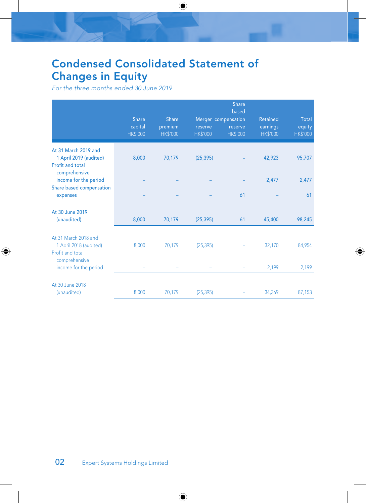## Condensed Consolidated Statement of Changes in Equity

*For the three months ended 30 June 2019*

|                                                                                     | Share<br>capital<br><b>HK\$'000</b> | <b>Share</b><br>premium<br><b>HK\$'000</b> | reserve<br><b>HK\$'000</b> | <b>Share</b><br>based<br>Merger compensation<br>reserve<br><b>HK\$'000</b> | Retained<br>earnings<br><b>HK\$'000</b> | Total<br>equity<br><b>HK\$'000</b> |
|-------------------------------------------------------------------------------------|-------------------------------------|--------------------------------------------|----------------------------|----------------------------------------------------------------------------|-----------------------------------------|------------------------------------|
| At 31 March 2019 and<br>1 April 2019 (audited)<br>Profit and total<br>comprehensive | 8,000                               | 70,179                                     | (25, 395)                  |                                                                            | 42,923                                  | 95,707                             |
| income for the period                                                               |                                     |                                            |                            |                                                                            | 2,477                                   | 2,477                              |
| Share based compensation<br>expenses                                                |                                     |                                            |                            | 61                                                                         |                                         | 61                                 |
| At 30 June 2019<br>(unaudited)                                                      | 8,000                               | 70,179                                     | (25, 395)                  | 61                                                                         | 45,400                                  | 98,245                             |
| At 31 March 2018 and<br>1 April 2018 (audited)<br>Profit and total<br>comprehensive | 8,000                               | 70,179                                     | (25, 395)                  |                                                                            | 32,170                                  | 84,954                             |
| income for the period                                                               |                                     |                                            |                            |                                                                            | 2,199                                   | 2,199                              |
| At 30 June 2018<br>(unaudited)                                                      | 8,000                               | 70,179                                     | (25, 395)                  |                                                                            | 34,369                                  | 87,153                             |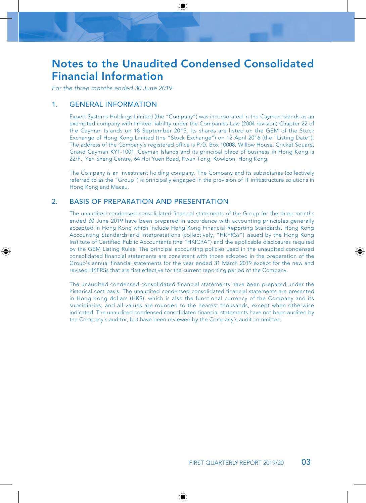## Notes to the Unaudited Condensed Consolidated Financial Information

*For the three months ended 30 June 2019*

### 1. GENERAL INFORMATION

Expert Systems Holdings Limited (the "Company") was incorporated in the Cayman Islands as an exempted company with limited liability under the Companies Law (2004 revision) Chapter 22 of the Cayman Islands on 18 September 2015. Its shares are listed on the GEM of the Stock Exchange of Hong Kong Limited (the "Stock Exchange") on 12 April 2016 (the "Listing Date"). The address of the Company's registered office is P.O. Box 10008, Willow House, Cricket Square, Grand Cayman KY1-1001, Cayman Islands and its principal place of business in Hong Kong is 22/F., Yen Sheng Centre, 64 Hoi Yuen Road, Kwun Tong, Kowloon, Hong Kong.

The Company is an investment holding company. The Company and its subsidiaries (collectively referred to as the "Group") is principally engaged in the provision of IT infrastructure solutions in Hong Kong and Macau.

## 2. BASIS OF PREPARATION AND PRESENTATION

The unaudited condensed consolidated financial statements of the Group for the three months ended 30 June 2019 have been prepared in accordance with accounting principles generally accepted in Hong Kong which include Hong Kong Financial Reporting Standards, Hong Kong Accounting Standards and Interpretations (collectively, "HKFRSs") issued by the Hong Kong Institute of Certified Public Accountants (the "HKICPA") and the applicable disclosures required by the GEM Listing Rules. The principal accounting policies used in the unaudited condensed consolidated financial statements are consistent with those adopted in the preparation of the Group's annual financial statements for the year ended 31 March 2019 except for the new and revised HKFRSs that are first effective for the current reporting period of the Company.

The unaudited condensed consolidated financial statements have been prepared under the historical cost basis. The unaudited condensed consolidated financial statements are presented in Hong Kong dollars (HK\$), which is also the functional currency of the Company and its subsidiaries, and all values are rounded to the nearest thousands, except when otherwise indicated. The unaudited condensed consolidated financial statements have not been audited by the Company's auditor, but have been reviewed by the Company's audit committee.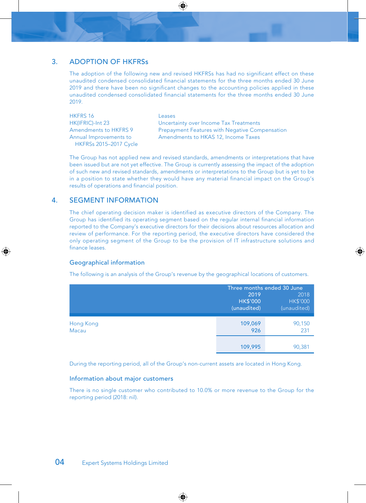## 3. ADOPTION OF HKFRSs

The adoption of the following new and revised HKFRSs has had no significant effect on these unaudited condensed consolidated financial statements for the three months ended 30 June 2019 and there have been no significant changes to the accounting policies applied in these unaudited condensed consolidated financial statements for the three months ended 30 June 2019.

HKFRS 16 Leases Annual Improvements to HKFRSs 2015–2017 Cycle

HK(IFRIC)-Int 23 Uncertainty over Income Tax Treatments Amendments to HKFRS 9 Prepayment Features with Negative Compensation Amendments to HKAS 12, Income Taxes

The Group has not applied new and revised standards, amendments or interpretations that have been issued but are not yet effective. The Group is currently assessing the impact of the adoption of such new and revised standards, amendments or interpretations to the Group but is yet to be in a position to state whether they would have any material financial impact on the Group's results of operations and financial position.

#### 4. SEGMENT INFORMATION

The chief operating decision maker is identified as executive directors of the Company. The Group has identified its operating segment based on the regular internal financial information reported to the Company's executive directors for their decisions about resources allocation and review of performance. For the reporting period, the executive directors have considered the only operating segment of the Group to be the provision of IT infrastructure solutions and finance leases.

#### Geographical information

The following is an analysis of the Group's revenue by the geographical locations of customers.

|                    | 2019<br><b>HK\$'000</b><br>(unaudited) | Three months ended 30 June<br>2018<br><b>HK\$'000</b><br>(unaudited) |
|--------------------|----------------------------------------|----------------------------------------------------------------------|
| Hong Kong<br>Macau | 109,069<br>926                         | 90,150<br>231                                                        |
|                    | 109.995                                | 90.381                                                               |

During the reporting period, all of the Group's non-current assets are located in Hong Kong.

#### Information about major customers

There is no single customer who contributed to 10.0% or more revenue to the Group for the reporting period (2018: nil).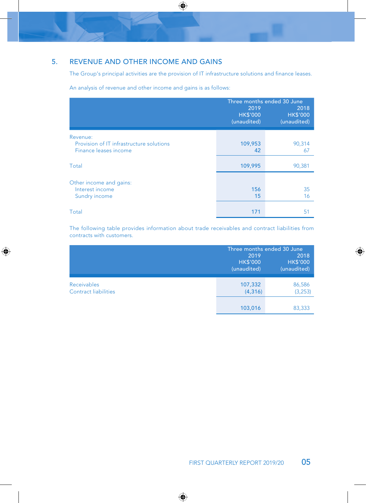## 5. REVENUE AND OTHER INCOME AND GAINS

The Group's principal activities are the provision of IT infrastructure solutions and finance leases.

An analysis of revenue and other income and gains is as follows:

|                                                                               | Three months ended 30 June<br>2019<br>2018<br><b>HK\$'000</b><br><b>HK\$'000</b><br>(unaudited)<br>(unaudited) |              |  |  |  |
|-------------------------------------------------------------------------------|----------------------------------------------------------------------------------------------------------------|--------------|--|--|--|
| Revenue:<br>Provision of IT infrastructure solutions<br>Finance leases income | 109,953<br>42                                                                                                  | 90,314<br>67 |  |  |  |
| Total                                                                         | 109,995                                                                                                        | 90,381       |  |  |  |
| Other income and gains:<br>Interest income<br>Sundry income                   | 156<br>15                                                                                                      | 35<br>16     |  |  |  |
| Total                                                                         | 171                                                                                                            | -51          |  |  |  |

The following table provides information about trade receivables and contract liabilities from contracts with customers.

|                                            | 2019<br><b>HK\$'000</b><br>(unaudited) | Three months ended 30 June<br>2018<br><b>HK\$'000</b><br>(unaudited) |
|--------------------------------------------|----------------------------------------|----------------------------------------------------------------------|
| Receivables<br><b>Contract liabilities</b> | 107,332<br>(4, 316)                    | 86,586<br>(3, 253)                                                   |
|                                            | 103,016                                | 83,333                                                               |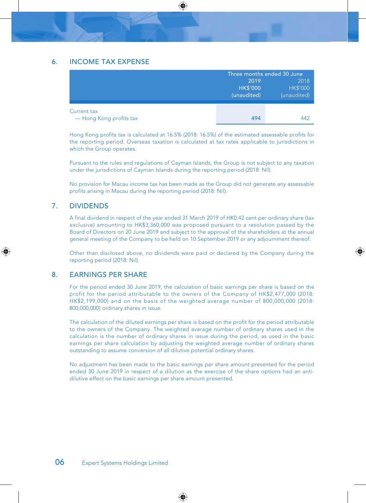### 6. INCOME TAX EXPENSE

|                                        | Three months ended 30 June             |                                        |  |
|----------------------------------------|----------------------------------------|----------------------------------------|--|
|                                        | 2019<br><b>HK\$'000</b><br>(unaudited) | 2018<br><b>HK\$'000</b><br>(unaudited) |  |
| Current tax<br>— Hong Kong profits tax | 494                                    | 442                                    |  |

Hong Kong profits tax is calculated at 16.5% (2018: 16.5%) of the estimated assessable profits for the reporting period. Overseas taxation is calculated at tax rates applicable to jurisdictions in which the Group operates.

Pursuant to the rules and regulations of Cayman Islands, the Group is not subject to any taxation under the jurisdictions of Cayman Islands during the reporting period (2018: Nil).

No provision for Macau income tax has been made as the Group did not generate any assessable profits arising in Macau during the reporting period (2018: Nil).

## 7. DIVIDENDS

A final dividend in respect of the year ended 31 March 2019 of HK0.42 cent per ordinary share (tax exclusive) amounting to HK\$3,360,000 was proposed pursuant to a resolution passed by the Board of Directors on 20 June 2019 and subject to the approval of the shareholders at the annual general meeting of the Company to be held on 10 September 2019 or any adjournment thereof.

Other than disclosed above, no dividends were paid or declared by the Company during the reporting period (2018: Nil).

#### 8. EARNINGS PER SHARE

For the period ended 30 June 2019, the calculation of basic earnings per share is based on the profit for the period attributable to the owners of the Company of HK\$2,477,000 (2018: HK\$2,199,000) and on the basis of the weighted average number of 800,000,000 (2018: 800,000,000) ordinary shares in issue.

The calculation of the diluted earnings per share is based on the profit for the period attributable to the owners of the Company. The weighted average number of ordinary shares used in the calculation is the number of ordinary shares in issue during the period, as used in the basic earnings per share calculation by adjusting the weighted average number of ordinary shares outstanding to assume conversion of all dilutive potential ordinary shares.

No adjustment has been made to the basic earnings per share amount presented for the period ended 30 June 2019 in respect of a dilution as the exercise of the share options had an antidilutive effect on the basic earnings per share amount presented.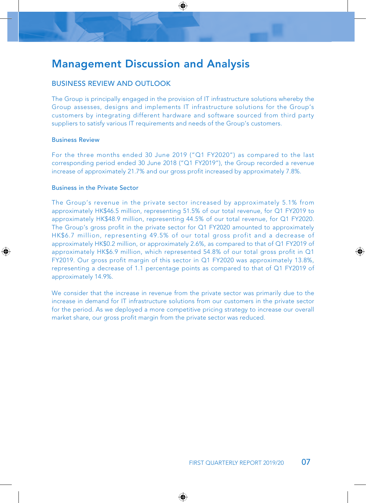## Management Discussion and Analysis

## BUSINESS REVIEW AND OUTLOOK

The Group is principally engaged in the provision of IT infrastructure solutions whereby the Group assesses, designs and implements IT infrastructure solutions for the Group's customers by integrating different hardware and software sourced from third party suppliers to satisfy various IT requirements and needs of the Group's customers.

#### Business Review

For the three months ended 30 June 2019 ("Q1 FY2020") as compared to the last corresponding period ended 30 June 2018 ("Q1 FY2019"), the Group recorded a revenue increase of approximately 21.7% and our gross profit increased by approximately 7.8%.

#### Business in the Private Sector

The Group's revenue in the private sector increased by approximately 5.1% from approximately HK\$46.5 million, representing 51.5% of our total revenue, for Q1 FY2019 to approximately HK\$48.9 million, representing 44.5% of our total revenue, for Q1 FY2020. The Group's gross profit in the private sector for Q1 FY2020 amounted to approximately HK\$6.7 million, representing 49.5% of our total gross profit and a decrease of approximately HK\$0.2 million, or approximately 2.6%, as compared to that of Q1 FY2019 of approximately HK\$6.9 million, which represented 54.8% of our total gross profit in Q1 FY2019. Our gross profit margin of this sector in Q1 FY2020 was approximately 13.8%, representing a decrease of 1.1 percentage points as compared to that of Q1 FY2019 of approximately 14.9%.

We consider that the increase in revenue from the private sector was primarily due to the increase in demand for IT infrastructure solutions from our customers in the private sector for the period. As we deployed a more competitive pricing strategy to increase our overall market share, our gross profit margin from the private sector was reduced.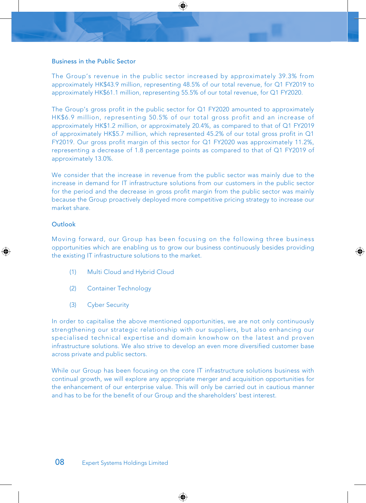#### Business in the Public Sector

The Group's revenue in the public sector increased by approximately 39.3% from approximately HK\$43.9 million, representing 48.5% of our total revenue, for Q1 FY2019 to approximately HK\$61.1 million, representing 55.5% of our total revenue, for Q1 FY2020.

The Group's gross profit in the public sector for Q1 FY2020 amounted to approximately HK\$6.9 million, representing 50.5% of our total gross profit and an increase of approximately HK\$1.2 million, or approximately 20.4%, as compared to that of Q1 FY2019 of approximately HK\$5.7 million, which represented 45.2% of our total gross profit in Q1 FY2019. Our gross profit margin of this sector for Q1 FY2020 was approximately 11.2%, representing a decrease of 1.8 percentage points as compared to that of Q1 FY2019 of approximately 13.0%.

We consider that the increase in revenue from the public sector was mainly due to the increase in demand for IT infrastructure solutions from our customers in the public sector for the period and the decrease in gross profit margin from the public sector was mainly because the Group proactively deployed more competitive pricing strategy to increase our market share.

#### Outlook

Moving forward, our Group has been focusing on the following three business opportunities which are enabling us to grow our business continuously besides providing the existing IT infrastructure solutions to the market.

- (1) Multi Cloud and Hybrid Cloud
- (2) Container Technology
- (3) Cyber Security

In order to capitalise the above mentioned opportunities, we are not only continuously strengthening our strategic relationship with our suppliers, but also enhancing our specialised technical expertise and domain knowhow on the latest and proven infrastructure solutions. We also strive to develop an even more diversified customer base across private and public sectors.

While our Group has been focusing on the core IT infrastructure solutions business with continual growth, we will explore any appropriate merger and acquisition opportunities for the enhancement of our enterprise value. This will only be carried out in cautious manner and has to be for the benefit of our Group and the shareholders' best interest.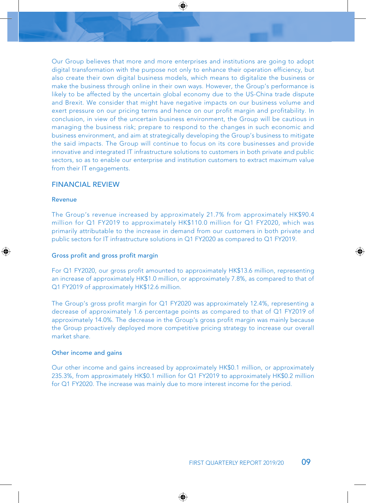Our Group believes that more and more enterprises and institutions are going to adopt digital transformation with the purpose not only to enhance their operation efficiency, but also create their own digital business models, which means to digitalize the business or make the business through online in their own ways. However, the Group's performance is likely to be affected by the uncertain global economy due to the US-China trade dispute and Brexit. We consider that might have negative impacts on our business volume and exert pressure on our pricing terms and hence on our profit margin and profitability. In conclusion, in view of the uncertain business environment, the Group will be cautious in managing the business risk; prepare to respond to the changes in such economic and business environment, and aim at strategically developing the Group's business to mitigate the said impacts. The Group will continue to focus on its core businesses and provide innovative and integrated IT infrastructure solutions to customers in both private and public sectors, so as to enable our enterprise and institution customers to extract maximum value from their IT engagements.

### FINANCIAL REVIEW

#### Revenue

The Group's revenue increased by approximately 21.7% from approximately HK\$90.4 million for Q1 FY2019 to approximately HK\$110.0 million for Q1 FY2020, which was primarily attributable to the increase in demand from our customers in both private and public sectors for IT infrastructure solutions in Q1 FY2020 as compared to Q1 FY2019.

#### Gross profit and gross profit margin

For Q1 FY2020, our gross profit amounted to approximately HK\$13.6 million, representing an increase of approximately HK\$1.0 million, or approximately 7.8%, as compared to that of Q1 FY2019 of approximately HK\$12.6 million.

The Group's gross profit margin for Q1 FY2020 was approximately 12.4%, representing a decrease of approximately 1.6 percentage points as compared to that of Q1 FY2019 of approximately 14.0%. The decrease in the Group's gross profit margin was mainly because the Group proactively deployed more competitive pricing strategy to increase our overall market share.

#### Other income and gains

Our other income and gains increased by approximately HK\$0.1 million, or approximately 235.3%, from approximately HK\$0.1 million for Q1 FY2019 to approximately HK\$0.2 million for Q1 FY2020. The increase was mainly due to more interest income for the period.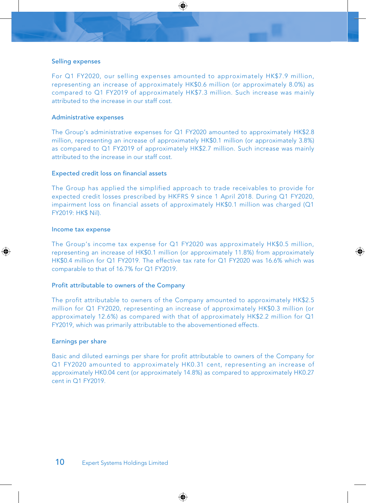#### Selling expenses

For Q1 FY2020, our selling expenses amounted to approximately HK\$7.9 million, representing an increase of approximately HK\$0.6 million (or approximately 8.0%) as compared to Q1 FY2019 of approximately HK\$7.3 million. Such increase was mainly attributed to the increase in our staff cost.

#### Administrative expenses

The Group's administrative expenses for Q1 FY2020 amounted to approximately HK\$2.8 million, representing an increase of approximately HK\$0.1 million (or approximately 3.8%) as compared to Q1 FY2019 of approximately HK\$2.7 million. Such increase was mainly attributed to the increase in our staff cost.

#### Expected credit loss on financial assets

The Group has applied the simplified approach to trade receivables to provide for expected credit losses prescribed by HKFRS 9 since 1 April 2018. During Q1 FY2020, impairment loss on financial assets of approximately HK\$0.1 million was charged (Q1 FY2019: HK\$ Nil).

#### Income tax expense

The Group's income tax expense for Q1 FY2020 was approximately HK\$0.5 million, representing an increase of HK\$0.1 million (or approximately 11.8%) from approximately HK\$0.4 million for Q1 FY2019. The effective tax rate for Q1 FY2020 was 16.6% which was comparable to that of 16.7% for Q1 FY2019.

#### Profit attributable to owners of the Company

The profit attributable to owners of the Company amounted to approximately HK\$2.5 million for Q1 FY2020, representing an increase of approximately HK\$0.3 million (or approximately 12.6%) as compared with that of approximately HK\$2.2 million for Q1 FY2019, which was primarily attributable to the abovementioned effects.

#### Earnings per share

Basic and diluted earnings per share for profit attributable to owners of the Company for Q1 FY2020 amounted to approximately HK0.31 cent, representing an increase of approximately HK0.04 cent (or approximately 14.8%) as compared to approximately HK0.27 cent in Q1 FY2019.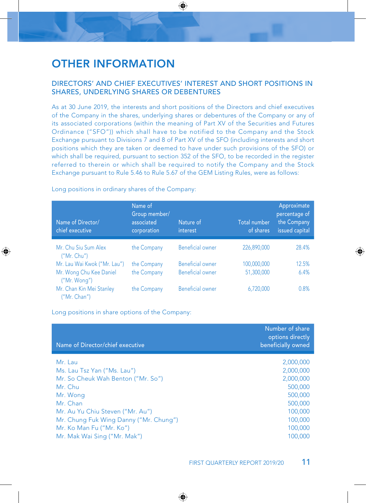## OTHER INFORMATION

## DIRECTORS' AND CHIEF EXECUTIVES' INTEREST AND SHORT POSITIONS IN SHARES, UNDERLYING SHARES OR DEBENTURES

As at 30 June 2019, the interests and short positions of the Directors and chief executives of the Company in the shares, underlying shares or debentures of the Company or any of its associated corporations (within the meaning of Part XV of the Securities and Futures Ordinance ("SFO")) which shall have to be notified to the Company and the Stock Exchange pursuant to Divisions 7 and 8 of Part XV of the SFO (including interests and short positions which they are taken or deemed to have under such provisions of the SFO) or which shall be required, pursuant to section 352 of the SFO, to be recorded in the register referred to therein or which shall be required to notify the Company and the Stock Exchange pursuant to Rule 5.46 to Rule 5.67 of the GEM Listing Rules, were as follows:

| Name of Director/<br>chief executive     | Name of<br>Group member/<br>associated<br>corporation | Nature of<br>interest   | <b>Total number</b><br>of shares | Approximate<br>percentage of<br>the Company<br>issued capital |
|------------------------------------------|-------------------------------------------------------|-------------------------|----------------------------------|---------------------------------------------------------------|
| Mr. Chu Siu Sum Alex<br>("Mr. Chu")      | the Company                                           | <b>Beneficial owner</b> | 226.890.000                      | 28.4%                                                         |
| Mr. Lau Wai Kwok ("Mr. Lau")             | the Company                                           | <b>Beneficial owner</b> | 100,000,000                      | 12.5%                                                         |
| Mr. Wong Chu Kee Daniel<br>("Mr. Wong")  | the Company                                           | <b>Beneficial owner</b> | 51,300,000                       | 6.4%                                                          |
| Mr. Chan Kin Mei Stanley<br>("Mr. Chan") | the Company                                           | <b>Beneficial owner</b> | 6,720,000                        | 0.8%                                                          |

Long positions in ordinary shares of the Company:

Long positions in share options of the Company:

| Name of Director/chief executive       | Number of share<br>options directly<br>beneficially owned |
|----------------------------------------|-----------------------------------------------------------|
| Mr. Lau                                | 2,000,000                                                 |
| Ms. Lau Tsz Yan ("Ms. Lau")            | 2.000.000                                                 |
| Mr. So Cheuk Wah Benton ("Mr. So")     | 2.000.000                                                 |
| Mr. Chu                                | 500,000                                                   |
| Mr. Wong                               | 500,000                                                   |
| Mr. Chan                               | 500,000                                                   |
| Mr. Au Yu Chiu Steven ("Mr. Au")       | 100,000                                                   |
| Mr. Chung Fuk Wing Danny ("Mr. Chung") | 100,000                                                   |
| Mr. Ko Man Fu ("Mr. Ko")               | 100,000                                                   |
| Mr. Mak Wai Sing ("Mr. Mak")           | 100,000                                                   |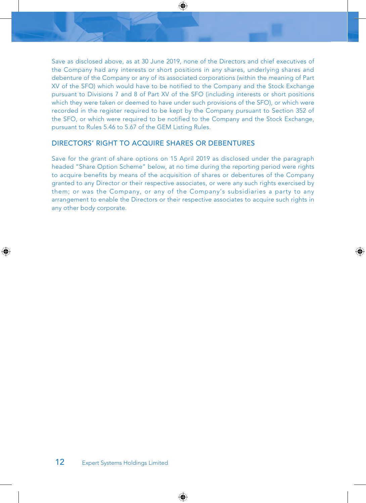Save as disclosed above, as at 30 June 2019, none of the Directors and chief executives of the Company had any interests or short positions in any shares, underlying shares and debenture of the Company or any of its associated corporations (within the meaning of Part XV of the SFO) which would have to be notified to the Company and the Stock Exchange pursuant to Divisions 7 and 8 of Part XV of the SFO (including interests or short positions which they were taken or deemed to have under such provisions of the SFO), or which were recorded in the register required to be kept by the Company pursuant to Section 352 of the SFO, or which were required to be notified to the Company and the Stock Exchange, pursuant to Rules 5.46 to 5.67 of the GEM Listing Rules.

## DIRECTORS' RIGHT TO ACQUIRE SHARES OR DEBENTURES

Save for the grant of share options on 15 April 2019 as disclosed under the paragraph headed "Share Option Scheme" below, at no time during the reporting period were rights to acquire benefits by means of the acquisition of shares or debentures of the Company granted to any Director or their respective associates, or were any such rights exercised by them; or was the Company, or any of the Company's subsidiaries a party to any arrangement to enable the Directors or their respective associates to acquire such rights in any other body corporate.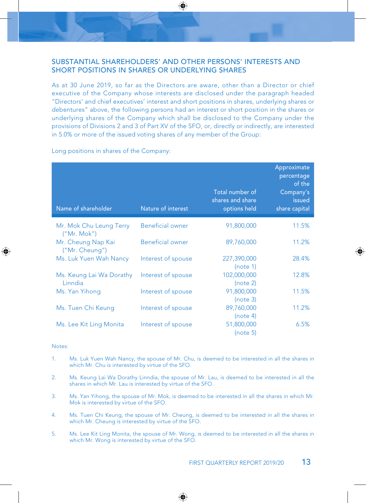## SUBSTANTIAL SHAREHOLDERS' AND OTHER PERSONS' INTERESTS AND SHORT POSITIONS IN SHARES OR UNDERLYING SHARES

As at 30 June 2019, so far as the Directors are aware, other than a Director or chief executive of the Company whose interests are disclosed under the paragraph headed "Directors' and chief executives' interest and short positions in shares, underlying shares or debentures" above, the following persons had an interest or short position in the shares or underlying shares of the Company which shall be disclosed to the Company under the provisions of Divisions 2 and 3 of Part XV of the SFO, or, directly or indirectly, are interested in 5.0% or more of the issued voting shares of any member of the Group:

| Name of shareholder                    | Nature of interest      | Total number of<br>shares and share<br>options held | Approximate<br>percentage<br>of the<br>Company's<br>issued<br>share capital |
|----------------------------------------|-------------------------|-----------------------------------------------------|-----------------------------------------------------------------------------|
| Mr. Mok Chu Leung Terry<br>("Mr. Mok") | <b>Beneficial owner</b> | 91,800,000                                          | 11.5%                                                                       |
| Mr. Cheung Nap Kai<br>("Mr. Cheung")   | Beneficial owner        | 89,760,000                                          | 11.2%                                                                       |
| Ms. Luk Yuen Wah Nancy                 | Interest of spouse      | 227,390,000<br>(note 1)                             | 28.4%                                                                       |
| Ms. Keung Lai Wa Dorathy<br>Linndia    | Interest of spouse      | 102,000,000<br>(note 2)                             | 12.8%                                                                       |
| Ms. Yan Yihong                         | Interest of spouse      | 91,800,000<br>(note 3)                              | 11.5%                                                                       |
| Ms. Tuen Chi Keung                     | Interest of spouse      | 89,760,000<br>(note 4)                              | 11.2%                                                                       |
| Ms. Lee Kit Ling Monita                | Interest of spouse      | 51,800,000<br>(note 5)                              | 6.5%                                                                        |

Long positions in shares of the Company:

#### Notes:

- 1. Ms. Luk Yuen Wah Nancy, the spouse of Mr. Chu, is deemed to be interested in all the shares in which Mr. Chu is interested by virtue of the SFO.
- 2. Ms. Keung Lai Wa Dorathy Linndia, the spouse of Mr. Lau, is deemed to be interested in all the shares in which Mr. Lau is interested by virtue of the SFO.
- 3. Ms. Yan Yihong, the spouse of Mr. Mok, is deemed to be interested in all the shares in which Mr. Mok is interested by virtue of the SFO.
- 4. Ms. Tuen Chi Keung, the spouse of Mr. Cheung, is deemed to be interested in all the shares in which Mr. Cheung is interested by virtue of the SFO.
- 5. Ms. Lee Kit Ling Monita, the spouse of Mr. Wong, is deemed to be interested in all the shares in which Mr. Wong is interested by virtue of the SFO.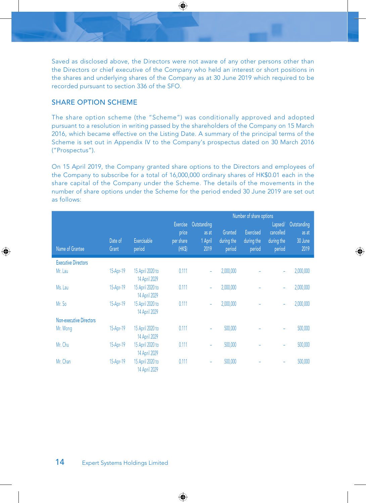Saved as disclosed above, the Directors were not aware of any other persons other than the Directors or chief executive of the Company who held an interest or short positions in the shares and underlying shares of the Company as at 30 June 2019 which required to be recorded pursuant to section 336 of the SFO.

## SHARE OPTION SCHEME

The share option scheme (the "Scheme") was conditionally approved and adopted pursuant to a resolution in writing passed by the shareholders of the Company on 15 March 2016, which became effective on the Listing Date. A summary of the principal terms of the Scheme is set out in Appendix IV to the Company's prospectus dated on 30 March 2016 ("Prospectus").

On 15 April 2019, the Company granted share options to the Directors and employees of the Company to subscribe for a total of 16,000,000 ordinary shares of HK\$0.01 each in the share capital of the Company under the Scheme. The details of the movements in the number of share options under the Scheme for the period ended 30 June 2019 are set out as follows:

|                                |                  |                                   |                                          |                                         |                                 | Number of share options                  |                                              |                                         |
|--------------------------------|------------------|-----------------------------------|------------------------------------------|-----------------------------------------|---------------------------------|------------------------------------------|----------------------------------------------|-----------------------------------------|
| Name of Grantee                | Date of<br>Grant | <b>Exercisable</b><br>period      | Exercise<br>price<br>per share<br>(HK\$) | Outstanding<br>as at<br>1 April<br>2019 | Granted<br>during the<br>period | <b>Exercised</b><br>during the<br>period | Lapsed/<br>cancelled<br>during the<br>period | Outstanding<br>as at<br>30 June<br>2019 |
| <b>Executive Directors</b>     |                  |                                   |                                          |                                         |                                 |                                          |                                              |                                         |
| Mr. Lau                        | 15-Apr-19        | 15 April 2020 to<br>14 April 2029 | 0.111                                    | ۰                                       | 2,000,000                       |                                          | ٠                                            | 2,000,000                               |
| Ms. Lau                        | 15-Apr-19        | 15 April 2020 to<br>14 April 2029 | 0.111                                    | ۰                                       | 2,000,000                       |                                          | ٠                                            | 2,000,000                               |
| Mr. So                         | 15-Apr-19        | 15 April 2020 to<br>14 April 2029 | 0.111                                    | ۰                                       | 2,000,000                       |                                          | ۰                                            | 2,000,000                               |
| <b>Non-executive Directors</b> |                  |                                   |                                          |                                         |                                 |                                          |                                              |                                         |
| Mr. Wong                       | 15-Apr-19        | 15 April 2020 to<br>14 April 2029 | 0.111                                    | ÷,                                      | 500,000                         |                                          |                                              | 500,000                                 |
| Mr. Chu                        | 15-Apr-19        | 15 April 2020 to<br>14 April 2029 | 0.111                                    | ۰                                       | 500,000                         |                                          | ۰                                            | 500,000                                 |
| Mr. Chan                       | 15-Apr-19        | 15 April 2020 to<br>14 April 2029 | 0.111                                    | ۰                                       | 500,000                         |                                          |                                              | 500,000                                 |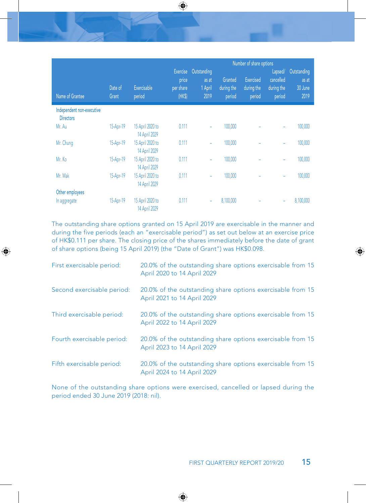|                                               |                  |                                   |                                                 |                                         |                                 | Number of share options                  |                                              |                                         |
|-----------------------------------------------|------------------|-----------------------------------|-------------------------------------------------|-----------------------------------------|---------------------------------|------------------------------------------|----------------------------------------------|-----------------------------------------|
| Name of Grantee                               | Date of<br>Grant | Exercisable<br>period             | <b>Exercise</b><br>price<br>per share<br>(HK\$) | Outstanding<br>as at<br>1 April<br>2019 | Granted<br>during the<br>period | <b>Exercised</b><br>during the<br>period | Lapsed/<br>cancelled<br>during the<br>period | Outstanding<br>as at<br>30 June<br>2019 |
| Independent non-executive<br><b>Directors</b> |                  |                                   |                                                 |                                         |                                 |                                          |                                              |                                         |
| Mr. Au                                        | 15-Apr-19        | 15 April 2020 to<br>14 April 2029 | 0.111                                           | ٠                                       | 100,000                         |                                          | ٠                                            | 100,000                                 |
| Mr. Chung                                     | 15-Apr-19        | 15 April 2020 to<br>14 April 2029 | 0.111                                           | ۰                                       | 100,000                         |                                          | ÷                                            | 100,000                                 |
| Mr. Ko                                        | 15-Apr-19        | 15 April 2020 to<br>14 April 2029 | 0.111                                           | ۰                                       | 100,000                         |                                          | ٠                                            | 100,000                                 |
| Mr. Mak                                       | 15-Apr-19        | 15 April 2020 to<br>14 April 2029 | 0.111                                           | ۰                                       | 100,000                         |                                          | ۰                                            | 100,000                                 |
| Other employees                               |                  |                                   |                                                 |                                         |                                 |                                          |                                              |                                         |
| In aggregate                                  | 15-Apr-19        | 15 April 2020 to<br>14 April 2029 | 0.111                                           | ٠                                       | 8,100,000                       |                                          | ٠                                            | 8,100,000                               |

The outstanding share options granted on 15 April 2019 are exercisable in the manner and during the five periods (each an "exercisable period") as set out below at an exercise price of HK\$0.111 per share. The closing price of the shares immediately before the date of grant of share options (being 15 April 2019) (the "Date of Grant") was HK\$0.098.

| First exercisable period:  | 20.0% of the outstanding share options exercisable from 15<br>April 2020 to 14 April 2029 |
|----------------------------|-------------------------------------------------------------------------------------------|
| Second exercisable period: | 20.0% of the outstanding share options exercisable from 15<br>April 2021 to 14 April 2029 |
| Third exercisable period:  | 20.0% of the outstanding share options exercisable from 15<br>April 2022 to 14 April 2029 |
| Fourth exercisable period: | 20.0% of the outstanding share options exercisable from 15<br>April 2023 to 14 April 2029 |
| Fifth exercisable period:  | 20.0% of the outstanding share options exercisable from 15<br>April 2024 to 14 April 2029 |

None of the outstanding share options were exercised, cancelled or lapsed during the period ended 30 June 2019 (2018: nil).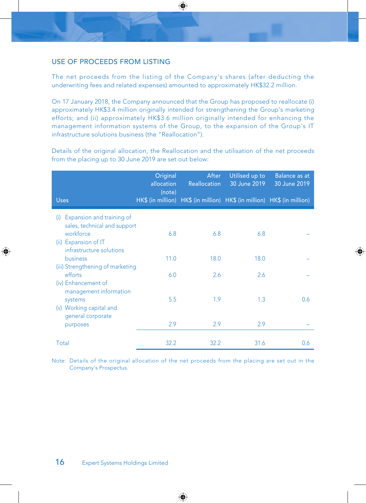## USE OF PROCEEDS FROM LISTING

The net proceeds from the listing of the Company's shares (after deducting the underwriting fees and related expenses) amounted to approximately HK\$32.2 million.

On 17 January 2018, the Company announced that the Group has proposed to reallocate (i) approximately HK\$3.4 million originally intended for strengthening the Group's marketing efforts; and (ii) approximately HK\$3.6 million originally intended for enhancing the management information systems of the Group, to the expansion of the Group's IT infrastructure solutions business (the "Reallocation").

Details of the original allocation, the Reallocation and the utilisation of the net proceeds from the placing up to 30 June 2019 are set out below:

|                                                                               | Original<br>allocation<br>(note) | After<br><b>Reallocation</b>                                            | Utilised up to<br>30 June 2019 | Balance as at<br>30 June 2019 |
|-------------------------------------------------------------------------------|----------------------------------|-------------------------------------------------------------------------|--------------------------------|-------------------------------|
| <b>Uses</b>                                                                   |                                  | HK\$ (in million) HK\$ (in million) HK\$ (in million) HK\$ (in million) |                                |                               |
| Expansion and training of<br>(i)<br>sales, technical and support<br>workforce | 6.8                              | 6.8                                                                     | 6.8                            |                               |
| (ii) Expansion of IT<br>infrastructure solutions<br>business                  | 11.0                             | 18.0                                                                    | 18.0                           |                               |
| (iii) Strengthening of marketing<br>efforts<br>(iv) Enhancement of            | 6.0                              | 2.6                                                                     | 2.6                            |                               |
| management information<br>systems<br>(v) Working capital and                  | 5.5                              | 1.9                                                                     | 1.3                            | 0.6                           |
| general corporate<br>purposes                                                 | 2.9                              | 2.9                                                                     | 2.9                            |                               |
| Total                                                                         | 32.2                             | 32.2                                                                    | 31.6                           | 0.6                           |

Note: Details of the original allocation of the net proceeds from the placing are set out in the Company's Prospectus.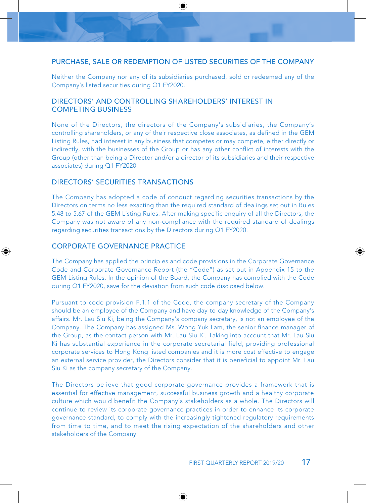### PURCHASE, SALE OR REDEMPTION OF LISTED SECURITIES OF THE COMPANY

Neither the Company nor any of its subsidiaries purchased, sold or redeemed any of the Company's listed securities during Q1 FY2020.

## DIRECTORS' AND CONTROLLING SHAREHOLDERS' INTEREST IN COMPETING BUSINESS

None of the Directors, the directors of the Company's subsidiaries, the Company's controlling shareholders, or any of their respective close associates, as defined in the GEM Listing Rules, had interest in any business that competes or may compete, either directly or indirectly, with the businesses of the Group or has any other conflict of interests with the Group (other than being a Director and/or a director of its subsidiaries and their respective associates) during Q1 FY2020.

## DIRECTORS' SECURITIES TRANSACTIONS

The Company has adopted a code of conduct regarding securities transactions by the Directors on terms no less exacting than the required standard of dealings set out in Rules 5.48 to 5.67 of the GEM Listing Rules. After making specific enquiry of all the Directors, the Company was not aware of any non-compliance with the required standard of dealings regarding securities transactions by the Directors during Q1 FY2020.

## CORPORATE GOVERNANCE PRACTICE

The Company has applied the principles and code provisions in the Corporate Governance Code and Corporate Governance Report (the "Code") as set out in Appendix 15 to the GEM Listing Rules. In the opinion of the Board, the Company has complied with the Code during Q1 FY2020, save for the deviation from such code disclosed below.

Pursuant to code provision F.1.1 of the Code, the company secretary of the Company should be an employee of the Company and have day-to-day knowledge of the Company's affairs. Mr. Lau Siu Ki, being the Company's company secretary, is not an employee of the Company. The Company has assigned Ms. Wong Yuk Lam, the senior finance manager of the Group, as the contact person with Mr. Lau Siu Ki. Taking into account that Mr. Lau Siu Ki has substantial experience in the corporate secretarial field, providing professional corporate services to Hong Kong listed companies and it is more cost effective to engage an external service provider, the Directors consider that it is beneficial to appoint Mr. Lau Siu Ki as the company secretary of the Company.

The Directors believe that good corporate governance provides a framework that is essential for effective management, successful business growth and a healthy corporate culture which would benefit the Company's stakeholders as a whole. The Directors will continue to review its corporate governance practices in order to enhance its corporate governance standard, to comply with the increasingly tightened regulatory requirements from time to time, and to meet the rising expectation of the shareholders and other stakeholders of the Company.